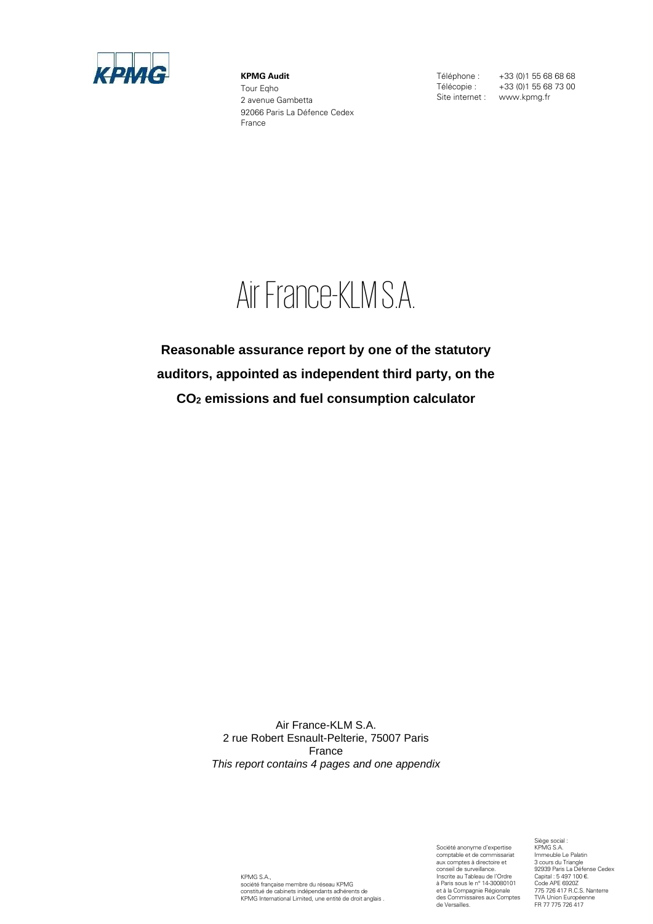

**KPMG Audit** Tour Eqho 2 avenue Gambetta 92066 Paris La Défence Cedex France

Téléphone : +33 (0)1 55 68 68 68<br>Télécopie : +33 (0)1 55 68 73 00 Site internet : www.kpmg.fr

+33 (0)1 55 68 73 00

# Air France-KLM S.A.

**Reasonable assurance report by one of the statutory auditors, appointed as independent third party, on the CO<sup>2</sup> emissions and fuel consumption calculator** 

> Air France-KLM S.A. 2 rue Robert Esnault-Pelterie, 75007 Paris France *This report contains 4 pages and one appendix*

KPMG S.A., société française membre du réseau KPMG constitué de cabinets indépendants adhérents de KPMG International Limited, une entité de droit anglais . Société anonyme d'expertise comptable et de commissariat aux comptes à directoire et conseil de surveillance. Inscrite au Tableau de l'Ordre à Paris sous le n° 14-30080101 et à la Compagnie Régionale des Commissaires aux Comptes de Versailles.

Siège social : KPMG S.A. Immeuble Le Palatin 3 cours du Triangle 92939 Paris La Défense Cedex Capital : 5 497 100 €. Code APE 6920Z 775 726 417 R.C.S. Nanterre TVA Union Européenne FR 77 775 726 417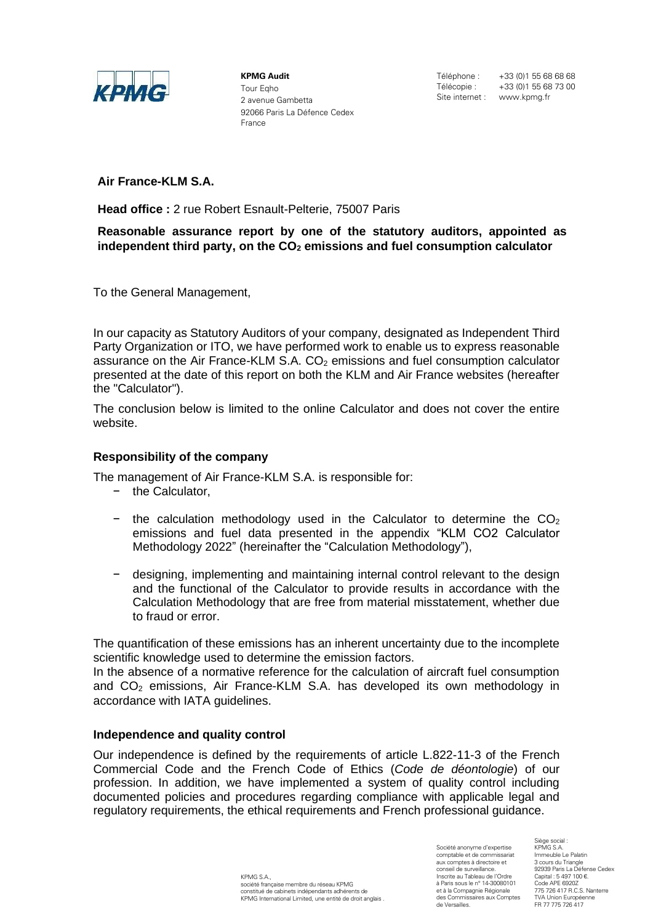

**KPMG Audit** Tour Eqho 2 avenue Gambetta 92066 Paris La Défence Cedex France

Téléphone : +33 (0) 1 55 68 68 68<br>Télécopie : +33 (0) 1 55 68 73 00 +33 (0)1 55 68 73 00 Site internet : www.kpmg.fr

**Air France-KLM S.A.**

**Head office :** 2 rue Robert Esnault-Pelterie, 75007 Paris

**Reasonable assurance report by one of the statutory auditors, appointed as independent third party, on the CO<sup>2</sup> emissions and fuel consumption calculator**

To the General Management,

In our capacity as Statutory Auditors of your company, designated as Independent Third Party Organization or ITO, we have performed work to enable us to express reasonable assurance on the Air France-KLM S.A.  $CO<sub>2</sub>$  emissions and fuel consumption calculator presented at the date of this report on both the KLM and Air France websites (hereafter the "Calculator").

The conclusion below is limited to the online Calculator and does not cover the entire website.

## **Responsibility of the company**

The management of Air France-KLM S.A. is responsible for:

- − the Calculator,
- $-$  the calculation methodology used in the Calculator to determine the  $CO<sub>2</sub>$ emissions and fuel data presented in the appendix "KLM CO2 Calculator Methodology 2022" (hereinafter the "Calculation Methodology"),
- − designing, implementing and maintaining internal control relevant to the design and the functional of the Calculator to provide results in accordance with the Calculation Methodology that are free from material misstatement, whether due to fraud or error.

The quantification of these emissions has an inherent uncertainty due to the incomplete scientific knowledge used to determine the emission factors.

In the absence of a normative reference for the calculation of aircraft fuel consumption and  $CO<sub>2</sub>$  emissions, Air France-KLM S.A. has developed its own methodology in accordance with IATA guidelines.

## **Independence and quality control**

Our independence is defined by the requirements of article L.822-11-3 of the French Commercial Code and the French Code of Ethics (*Code de déontologie*) of our profession. In addition, we have implemented a system of quality control including documented policies and procedures regarding compliance with applicable legal and regulatory requirements, the ethical requirements and French professional guidance.

> KPMG S.A. société française membre du réseau KPMG constitué de cabinets indépendants adhérents de KPMG International Limited, une entité de droit anglais .

Société anonyme d'expertise comptable et de commissariat aux comptes à directoire et conseil de surveillance. Inscrite au Tableau de l'Ordre à Paris sous le n° 14-30080101 et à la Compagnie Régionale des Commissaires aux Comptes de Versailles.

Siège social : KPMG S.A. Immeuble Le Palatin 3 cours du Triangle 92939 Paris La Défense Cedex Capital : 5 497 100 €. Code APE 69202 775 726 417 R.C.S. Nanterre TVA Union Européenne FR 77 775 726 417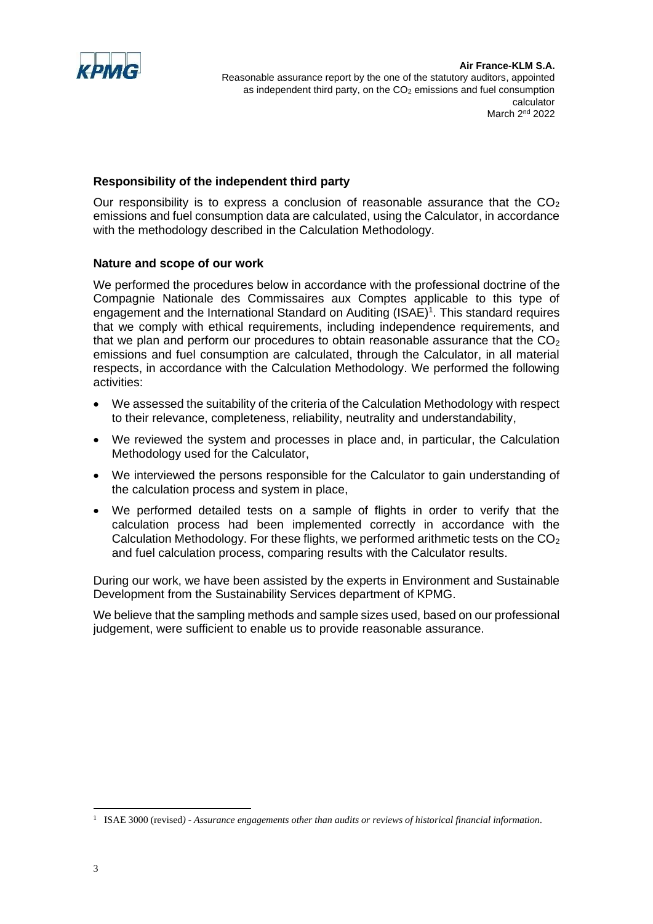

## **Responsibility of the independent third party**

Our responsibility is to express a conclusion of reasonable assurance that the  $CO<sub>2</sub>$ emissions and fuel consumption data are calculated, using the Calculator, in accordance with the methodology described in the Calculation Methodology.

## **Nature and scope of our work**

We performed the procedures below in accordance with the professional doctrine of the Compagnie Nationale des Commissaires aux Comptes applicable to this type of engagement and the International Standard on Auditing  $(ISAE)^1$ . This standard requires that we comply with ethical requirements, including independence requirements, and that we plan and perform our procedures to obtain reasonable assurance that the  $CO<sub>2</sub>$ emissions and fuel consumption are calculated, through the Calculator, in all material respects, in accordance with the Calculation Methodology. We performed the following activities:

- We assessed the suitability of the criteria of the Calculation Methodology with respect to their relevance, completeness, reliability, neutrality and understandability,
- We reviewed the system and processes in place and, in particular, the Calculation Methodology used for the Calculator,
- We interviewed the persons responsible for the Calculator to gain understanding of the calculation process and system in place,
- We performed detailed tests on a sample of flights in order to verify that the calculation process had been implemented correctly in accordance with the Calculation Methodology. For these flights, we performed arithmetic tests on the  $CO<sub>2</sub>$ and fuel calculation process, comparing results with the Calculator results.

During our work, we have been assisted by the experts in Environment and Sustainable Development from the Sustainability Services department of KPMG.

We believe that the sampling methods and sample sizes used, based on our professional judgement, were sufficient to enable us to provide reasonable assurance.

<sup>1</sup> ISAE 3000 (revised*) - Assurance engagements other than audits or reviews of historical financial information.*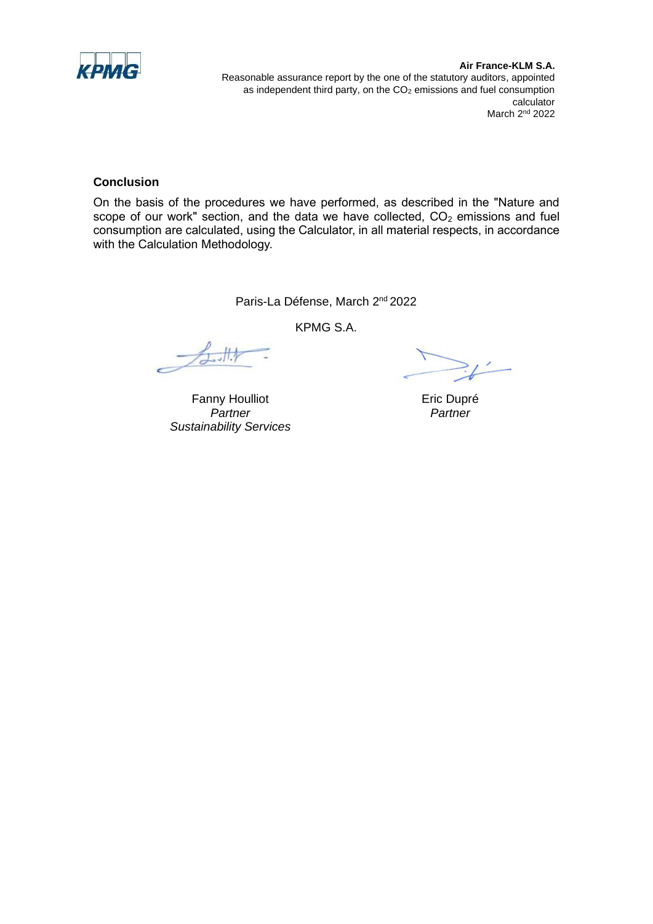

#### **Air France-KLM S.A.** Reasonable assurance report by the one of the statutory auditors, appointed as independent third party, on the CO<sub>2</sub> emissions and fuel consumption calculator March 2<sup>nd</sup> 2022

## **Conclusion**

On the basis of the procedures we have performed, as described in the "Nature and scope of our work" section, and the data we have collected,  $CO<sub>2</sub>$  emissions and fuel consumption are calculated, using the Calculator, in all material respects, in accordance with the Calculation Methodology.

Paris-La Défense, March 2<sup>nd</sup> 2022

KPMG S.A.

4.

Fanny Houlliot *Partner Sustainability Services*

Eric Dupré *Partner*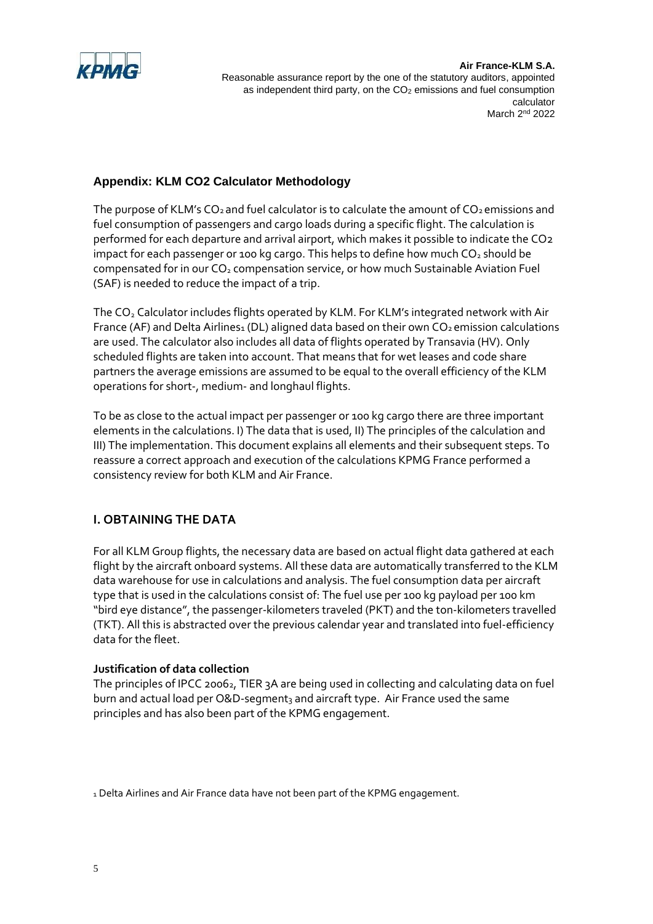

# **Appendix: KLM CO2 Calculator Methodology**

The purpose of KLM's  $CO_2$  and fuel calculator is to calculate the amount of  $CO_2$  emissions and fuel consumption of passengers and cargo loads during a specific flight. The calculation is performed for each departure and arrival airport, which makes it possible to indicate the CO2 impact for each passenger or 100 kg cargo. This helps to define how much  $CO<sub>2</sub>$  should be compensated for in our CO<sub>2</sub> compensation service, or how much Sustainable Aviation Fuel (SAF) is needed to reduce the impact of a trip.

The CO<sub>2</sub> Calculator includes flights operated by KLM. For KLM's integrated network with Air France (AF) and Delta Airlines1 (DL) aligned data based on their own  $CO<sub>2</sub>$  emission calculations are used. The calculator also includes all data of flights operated by Transavia (HV). Only scheduled flights are taken into account. That means that for wet leases and code share partners the average emissions are assumed to be equal to the overall efficiency of the KLM operations for short-, medium- and longhaul flights.

To be as close to the actual impact per passenger or 100 kg cargo there are three important elements in the calculations. I) The data that is used, II) The principles of the calculation and III) The implementation. This document explains all elements and their subsequent steps. To reassure a correct approach and execution of the calculations KPMG France performed a consistency review for both KLM and Air France.

# **I. OBTAINING THE DATA**

For all KLM Group flights, the necessary data are based on actual flight data gathered at each flight by the aircraft onboard systems. All these data are automatically transferred to the KLM data warehouse for use in calculations and analysis. The fuel consumption data per aircraft type that is used in the calculations consist of: The fuel use per 100 kg payload per 100 km "bird eye distance", the passenger-kilometers traveled (PKT) and the ton-kilometers travelled (TKT). All this is abstracted over the previous calendar year and translated into fuel-efficiency data for the fleet.

### **Justification of data collection**

The principles of IPCC 20062, TIER 3A are being used in collecting and calculating data on fuel burn and actual load per O&D-segment $_3$  and aircraft type. Air France used the same principles and has also been part of the KPMG engagement.

1 Delta Airlines and Air France data have not been part of the KPMG engagement.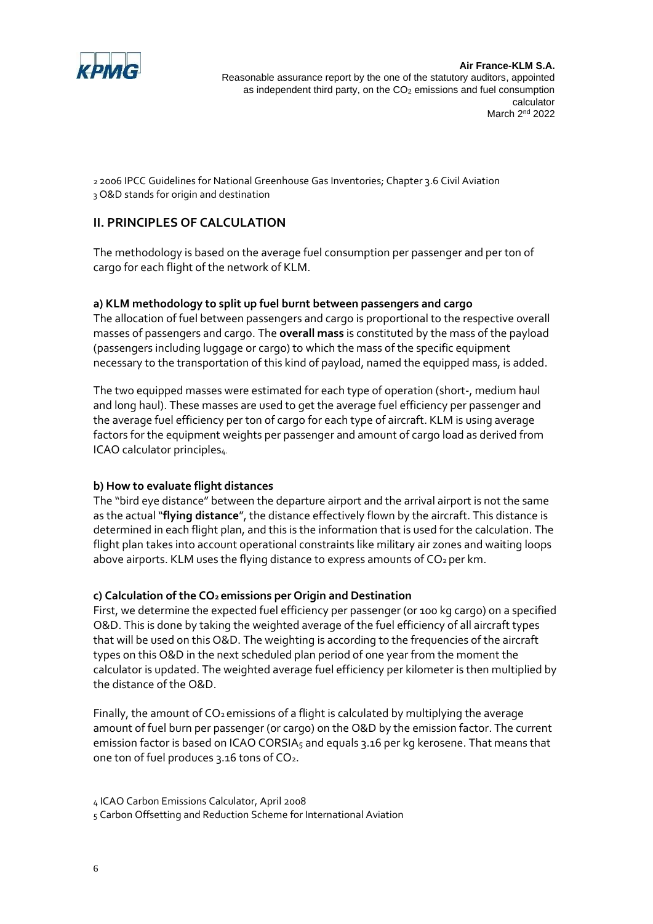

2 2006 IPCC Guidelines for National Greenhouse Gas Inventories; Chapter 3.6 Civil Aviation 3 O&D stands for origin and destination

# **II. PRINCIPLES OF CALCULATION**

The methodology is based on the average fuel consumption per passenger and per ton of cargo for each flight of the network of KLM.

## **a) KLM methodology to split up fuel burnt between passengers and cargo**

The allocation of fuel between passengers and cargo is proportional to the respective overall masses of passengers and cargo. The **overall mass** is constituted by the mass of the payload (passengers including luggage or cargo) to which the mass of the specific equipment necessary to the transportation of this kind of payload, named the equipped mass, is added.

The two equipped masses were estimated for each type of operation (short-, medium haul and long haul). These masses are used to get the average fuel efficiency per passenger and the average fuel efficiency per ton of cargo for each type of aircraft. KLM is using average factors for the equipment weights per passenger and amount of cargo load as derived from ICAO calculator principles4.

## **b) How to evaluate flight distances**

The "bird eye distance" between the departure airport and the arrival airport is not the same as the actual "**flying distance**", the distance effectively flown by the aircraft. This distance is determined in each flight plan, and this is the information that is used for the calculation. The flight plan takes into account operational constraints like military air zones and waiting loops above airports. KLM uses the flying distance to express amounts of  $CO<sub>2</sub>$  per km.

## **c) Calculation of the CO2 emissions per Origin and Destination**

First, we determine the expected fuel efficiency per passenger (or 100 kg cargo) on a specified O&D. This is done by taking the weighted average of the fuel efficiency of all aircraft types that will be used on this O&D. The weighting is according to the frequencies of the aircraft types on this O&D in the next scheduled plan period of one year from the moment the calculator is updated. The weighted average fuel efficiency per kilometer is then multiplied by the distance of the O&D.

Finally, the amount of  $CO<sub>2</sub>$  emissions of a flight is calculated by multiplying the average amount of fuel burn per passenger (or cargo) on the O&D by the emission factor. The current emission factor is based on ICAO CORSIA<sub>5</sub> and equals 3.16 per kg kerosene. That means that one ton of fuel produces 3.16 tons of CO2.

5 Carbon Offsetting and Reduction Scheme for International Aviation

<sup>4</sup> ICAO Carbon Emissions Calculator, April 2008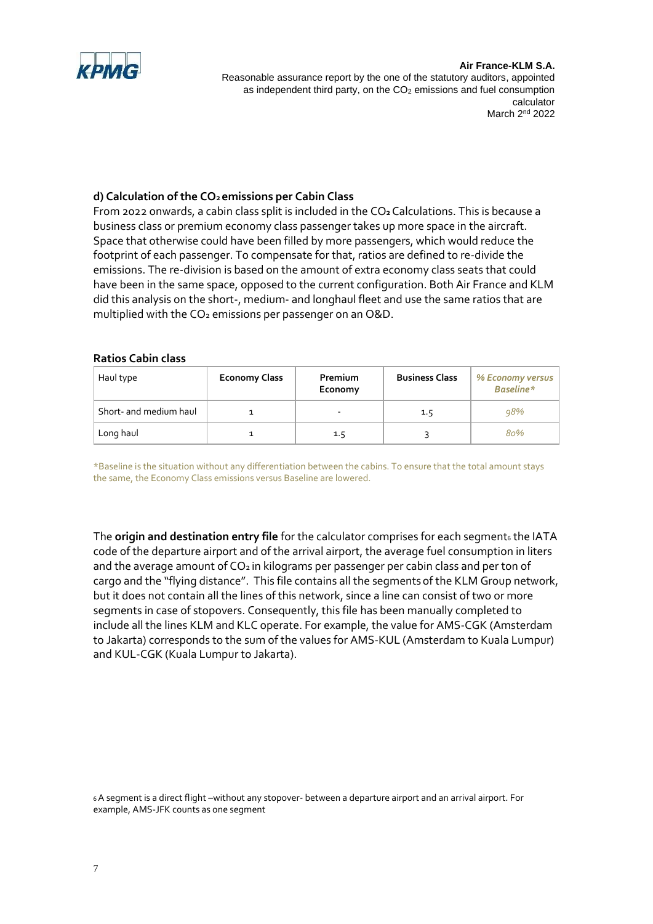

#### **Air France-KLM S.A.**

Reasonable assurance report by the one of the statutory auditors, appointed as independent third party, on the CO<sub>2</sub> emissions and fuel consumption calculator March 2<sup>nd</sup> 2022

## **d) Calculation of the CO2 emissions per Cabin Class**

From 2022 onwards, a cabin class split is included in the CO**2**Calculations. This is because a business class or premium economy class passenger takes up more space in the aircraft. Space that otherwise could have been filled by more passengers, which would reduce the footprint of each passenger. To compensate for that, ratios are defined to re-divide the emissions. The re-division is based on the amount of extra economy class seats that could have been in the same space, opposed to the current configuration. Both Air France and KLM did this analysis on the short-, medium- and longhaul fleet and use the same ratios that are multiplied with the  $CO<sub>2</sub>$  emissions per passenger on an O&D.

### **Ratios Cabin class**

| Haul type              | <b>Economy Class</b> | Premium<br>Economy | <b>Business Class</b> | % Economy versus  <br><b>Baseline*</b> |
|------------------------|----------------------|--------------------|-----------------------|----------------------------------------|
| Short- and medium haul |                      |                    | 1.5                   | 98%                                    |
| Long haul              |                      | 1.5                |                       | 80%                                    |

\*Baseline is the situation without any differentiation between the cabins. To ensure that the total amount stays the same, the Economy Class emissions versus Baseline are lowered.

The **origin and destination entry file** for the calculator comprises for each segment6 the IATA code of the departure airport and of the arrival airport, the average fuel consumption in liters and the average amount of  $CO<sub>2</sub>$  in kilograms per passenger per cabin class and per ton of cargo and the "flying distance". This file contains all the segments of the KLM Group network, but it does not contain all the lines of this network, since a line can consist of two or more segments in case of stopovers. Consequently, this file has been manually completed to include all the lines KLM and KLC operate. For example, the value for AMS-CGK (Amsterdam to Jakarta) corresponds to the sum of the values for AMS-KUL (Amsterdam to Kuala Lumpur) and KUL-CGK (Kuala Lumpur to Jakarta).

<sup>6</sup>A segment is a direct flight –without any stopover- between a departure airport and an arrival airport. For example, AMS-JFK counts as one segment